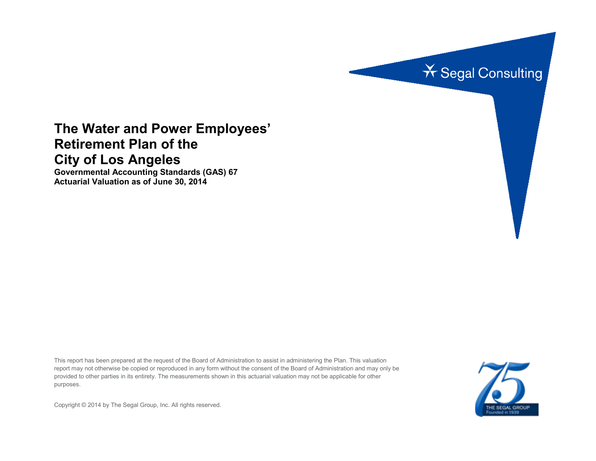

# **The Water and Power Employees' Retirement Plan of the City of Los Angeles**

**Governmental Accounting Standards (GAS) 67 Actuarial Valuation as of June 30, 2014**

This report has been prepared at the request of the Board of Administration to assist in administering the Plan. This valuation report may not otherwise be copied or reproduced in any form without the consent of the Board of Administration and may only be provided to other parties in its entirety. The measurements shown in this actuarial valuation may not be applicable for other purposes.



Copyright © 2014 by The Segal Group, Inc. All rights reserved.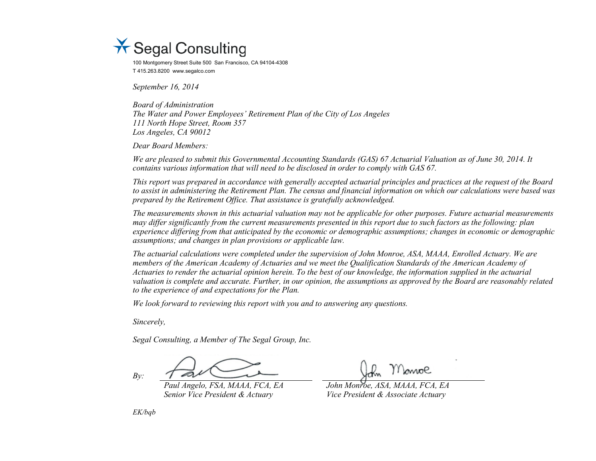

100 Montgomery Street Suite 500 San Francisco, CA 94104-4308 T 415.263.8200 www.segalco.com

*September 16, 2014*

*Board of Administration The Water and Power Employees' Retirement Plan of the City of Los Angeles 111 North Hope Street, Room 357 Los Angeles, CA 90012*

*Dear Board Members:*

*We are pleased to submit this Governmental Accounting Standards (GAS) 67 Actuarial Valuation as of June 30, 2014. It contains various information that will need to be disclosed in order to comply with GAS 67.*

*This report was prepared in accordance with generally accepted actuarial principles and practices at the request of the Board to assist in administering the Retirement Plan. The census and financial information on which our calculations were based was prepared by the Retirement Office. That assistance is gratefully acknowledged.* 

*The measurements shown in this actuarial valuation may not be applicable for other purposes. Future actuarial measurements may differ significantly from the current measurements presented in this report due to such factors as the following: plan experience differing from that anticipated by the economic or demographic assumptions; changes in economic or demographic assumptions; and changes in plan provisions or applicable law.*

*The actuarial calculations were completed under the supervision of John Monroe, ASA, MAAA, Enrolled Actuary. We are members of the American Academy of Actuaries and we meet the Qualification Standards of the American Academy of Actuaries to render the actuarial opinion herein. To the best of our knowledge, the information supplied in the actuarial valuation is complete and accurate. Further, in our opinion, the assumptions as approved by the Board are reasonably related to the experience of and expectations for the Plan.*

*We look forward to reviewing this report with you and to answering any questions.*

*Sincerely,*

*Segal Consulting, a Member of The Segal Group, Inc.*

*Paul Angelo, FSA, MAAA, FCA, EA John Monroe, ASA, MAAA, FCA, EA*

*Senior Vice President & Actuary Vice President & Associate Actuary*

*EK/bqb*

*By:*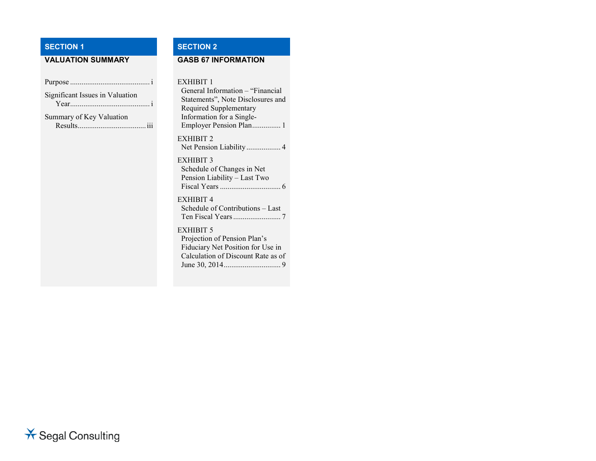# **SECTION 1 SECTION 2**

# **VALUATION SUMMARY GASB 67 INFORMATION**

| Significant Issues in Valuation<br>Year |
|-----------------------------------------|
| Summary of Key Valuation                |
|                                         |

#### EXHIBIT 1

General Information – "Financial Statements", Note Disclosures and Required Supplementary Information for a Single-Employer Pension Plan............... 1 EXHIBIT 2 Net Pension Liability .................. 4

EXHIBIT 3 Schedule of Changes in Net Pension Liability – Last Two Fiscal Years................................ 6

# EXHIBIT 4

Schedule of Contributions – Last Ten Fiscal Years......................... 7

#### EXHIBIT 5

Projection of Pension Plan's Fiduciary Net Position for Use in Calculation of Discount Rate as of June 30, 2014.............................. 9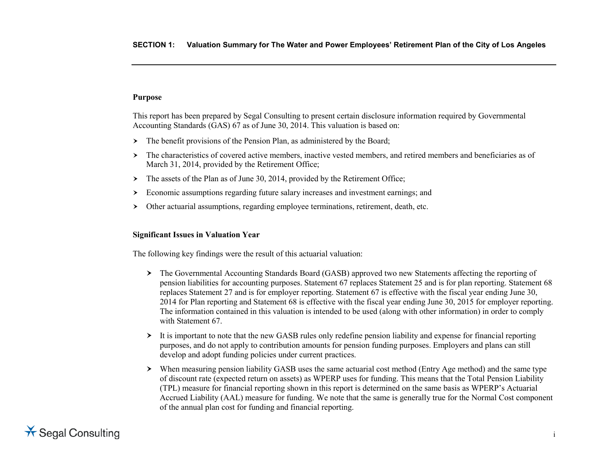# **Purpose**

This report has been prepared by Segal Consulting to present certain disclosure information required by Governmental Accounting Standards (GAS) 67 as of June 30, 2014. This valuation is based on:

- $\triangleright$  The benefit provisions of the Pension Plan, as administered by the Board;
- The characteristics of covered active members, inactive vested members, and retired members and beneficiaries as of March 31, 2014, provided by the Retirement Office;
- $\geq$  The assets of the Plan as of June 30, 2014, provided by the Retirement Office;
- Economic assumptions regarding future salary increases and investment earnings; and
- Other actuarial assumptions, regarding employee terminations, retirement, death, etc.

### **Significant Issues in Valuation Year**

The following key findings were the result of this actuarial valuation:

- The Governmental Accounting Standards Board (GASB) approved two new Statements affecting the reporting of pension liabilities for accounting purposes. Statement 67 replaces Statement 25 and is for plan reporting. Statement 68 replaces Statement 27 and is for employer reporting. Statement 67 is effective with the fiscal year ending June 30, 2014 for Plan reporting and Statement 68 is effective with the fiscal year ending June 30, 2015 for employer reporting. The information contained in this valuation is intended to be used (along with other information) in order to comply with Statement 67
- It is important to note that the new GASB rules only redefine pension liability and expense for financial reporting purposes, and do not apply to contribution amounts for pension funding purposes. Employers and plans can still develop and adopt funding policies under current practices.
- When measuring pension liability GASB uses the same actuarial cost method (Entry Age method) and the same type of discount rate (expected return on assets) as WPERP uses for funding. This means that the Total Pension Liability (TPL) measure for financial reporting shown in this report is determined on the same basis as WPERP's Actuarial Accrued Liability (AAL) measure for funding. We note that the same is generally true for the Normal Cost component of the annual plan cost for funding and financial reporting.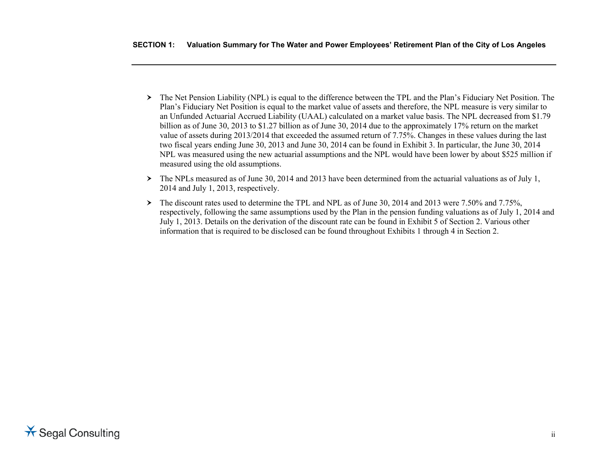- The Net Pension Liability (NPL) is equal to the difference between the TPL and the Plan's Fiduciary Net Position. The Plan's Fiduciary Net Position is equal to the market value of assets and therefore, the NPL measure is very similar to an Unfunded Actuarial Accrued Liability (UAAL) calculated on a market value basis. The NPL decreased from \$1.79 billion as of June 30, 2013 to \$1.27 billion as of June 30, 2014 due to the approximately 17% return on the market value of assets during 2013/2014 that exceeded the assumed return of 7.75%. Changes in these values during the last two fiscal years ending June 30, 2013 and June 30, 2014 can be found in Exhibit 3. In particular, the June 30, 2014 NPL was measured using the new actuarial assumptions and the NPL would have been lower by about \$525 million if measured using the old assumptions.
- $\triangleright$  The NPLs measured as of June 30, 2014 and 2013 have been determined from the actuarial valuations as of July 1, 2014 and July 1, 2013, respectively.
- The discount rates used to determine the TPL and NPL as of June 30, 2014 and 2013 were 7.50% and 7.75%, respectively, following the same assumptions used by the Plan in the pension funding valuations as of July 1, 2014 and July 1, 2013. Details on the derivation of the discount rate can be found in Exhibit 5 of Section 2. Various other information that is required to be disclosed can be found throughout Exhibits 1 through 4 in Section 2.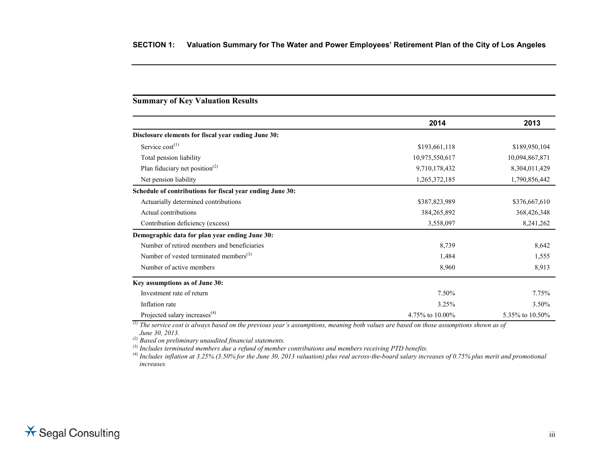# **Summary of Key Valuation Results**

|                                                           | 2014            | 2013            |
|-----------------------------------------------------------|-----------------|-----------------|
| Disclosure elements for fiscal year ending June 30:       |                 |                 |
| Service $cost^{(1)}$                                      | \$193,661,118   | \$189,950,104   |
| Total pension liability                                   | 10,975,550,617  | 10,094,867,871  |
| Plan fiduciary net position <sup>(2)</sup>                | 9,710,178,432   | 8,304,011,429   |
| Net pension liability                                     | 1,265,372,185   | 1,790,856,442   |
| Schedule of contributions for fiscal year ending June 30: |                 |                 |
| Actuarially determined contributions                      | \$387,823,989   | \$376,667,610   |
| Actual contributions                                      | 384, 265, 892   | 368,426,348     |
| Contribution deficiency (excess)                          | 3,558,097       | 8,241,262       |
| Demographic data for plan year ending June 30:            |                 |                 |
| Number of retired members and beneficiaries               | 8,739           | 8,642           |
| Number of vested terminated members <sup>(3)</sup>        | 1,484           | 1,555           |
| Number of active members                                  | 8,960           | 8,913           |
| Key assumptions as of June 30:                            |                 |                 |
| Investment rate of return                                 | 7.50%           | 7.75%           |
| Inflation rate                                            | 3.25%           | 3.50%           |
| Projected salary increases <sup>(4)</sup>                 | 4.75% to 10.00% | 5.35% to 10.50% |

*(1) The service cost is always based on the previous year's assumptions, meaning both values are based on those assumptions shown as of* 

*June 30, 2013. (2) Based on preliminary unaudited financial statements.*

*(3) Includes terminated members due a refund of member contributions and members receiving PTD benefits.*

*(4) Includes inflation at 3.25% (3.50% for the June 30, 2013 valuation) plus real across-the-board salary increases of 0.75% plus merit and promotional increases.*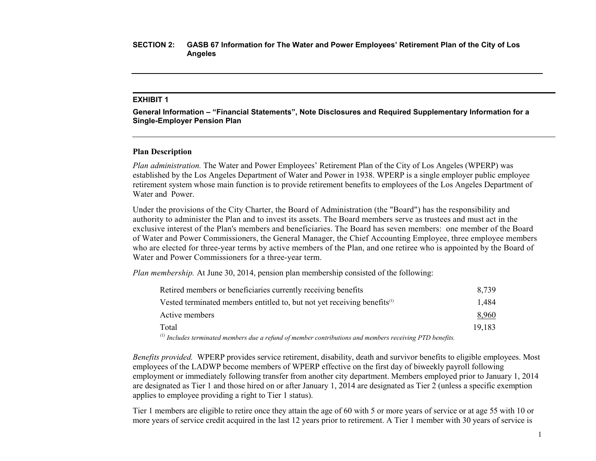#### **EXHIBIT 1**

**General Information – "Financial Statements", Note Disclosures and Required Supplementary Information for a Single-Employer Pension Plan**

#### **Plan Description**

*Plan administration.* The Water and Power Employees' Retirement Plan of the City of Los Angeles (WPERP) was established by the Los Angeles Department of Water and Power in 1938. WPERP is a single employer public employee retirement system whose main function is to provide retirement benefits to employees of the Los Angeles Department of Water and Power.

Under the provisions of the City Charter, the Board of Administration (the "Board") has the responsibility and authority to administer the Plan and to invest its assets. The Board members serve as trustees and must act in the exclusive interest of the Plan's members and beneficiaries. The Board has seven members: one member of the Board of Water and Power Commissioners, the General Manager, the Chief Accounting Employee, three employee members who are elected for three-year terms by active members of the Plan, and one retiree who is appointed by the Board of Water and Power Commissioners for a three-year term.

*Plan membership.* At June 30, 2014, pension plan membership consisted of the following:

| Retired members or beneficiaries currently receiving benefits                                                        | 8.739  |
|----------------------------------------------------------------------------------------------------------------------|--------|
| Vested terminated members entitled to, but not yet receiving benefits $\alpha$                                       | 1.484  |
| Active members                                                                                                       | 8,960  |
| Total                                                                                                                | 19.183 |
| (1) Includes to write atod month one due a noting of months as contributions and months on necessing of PTD houstite |        |

*(1) Includes terminated members due a refund of member contributions and members receiving PTD benefits.*

*Benefits provided.* WPERP provides service retirement, disability, death and survivor benefits to eligible employees. Most employees of the LADWP become members of WPERP effective on the first day of biweekly payroll following employment or immediately following transfer from another city department. Members employed prior to January 1, 2014 are designated as Tier 1 and those hired on or after January 1, 2014 are designated as Tier 2 (unless a specific exemption applies to employee providing a right to Tier 1 status).

Tier 1 members are eligible to retire once they attain the age of 60 with 5 or more years of service or at age 55 with 10 or more years of service credit acquired in the last 12 years prior to retirement. A Tier 1 member with 30 years of service is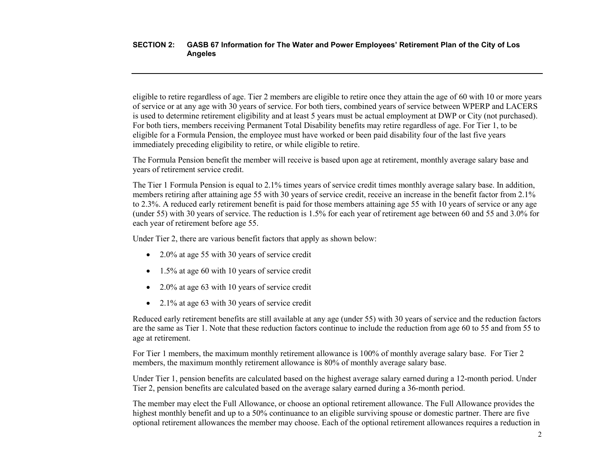eligible to retire regardless of age. Tier 2 members are eligible to retire once they attain the age of 60 with 10 or more years of service or at any age with 30 years of service. For both tiers, combined years of service between WPERP and LACERS is used to determine retirement eligibility and at least 5 years must be actual employment at DWP or City (not purchased). For both tiers, members receiving Permanent Total Disability benefits may retire regardless of age. For Tier 1, to be eligible for a Formula Pension, the employee must have worked or been paid disability four of the last five years immediately preceding eligibility to retire, or while eligible to retire.

The Formula Pension benefit the member will receive is based upon age at retirement, monthly average salary base and years of retirement service credit.

The Tier 1 Formula Pension is equal to 2.1% times years of service credit times monthly average salary base. In addition, members retiring after attaining age 55 with 30 years of service credit, receive an increase in the benefit factor from 2.1% to 2.3%. A reduced early retirement benefit is paid for those members attaining age 55 with 10 years of service or any age (under 55) with 30 years of service. The reduction is 1.5% for each year of retirement age between 60 and 55 and 3.0% for each year of retirement before age 55.

Under Tier 2, there are various benefit factors that apply as shown below:

- 2.0% at age 55 with 30 years of service credit
- 1.5% at age 60 with 10 years of service credit
- 2.0% at age 63 with 10 years of service credit
- 2.1% at age 63 with 30 years of service credit

Reduced early retirement benefits are still available at any age (under 55) with 30 years of service and the reduction factors are the same as Tier 1. Note that these reduction factors continue to include the reduction from age 60 to 55 and from 55 to age at retirement.

For Tier 1 members, the maximum monthly retirement allowance is 100% of monthly average salary base. For Tier 2 members, the maximum monthly retirement allowance is 80% of monthly average salary base.

Under Tier 1, pension benefits are calculated based on the highest average salary earned during a 12-month period. Under Tier 2, pension benefits are calculated based on the average salary earned during a 36-month period.

The member may elect the Full Allowance, or choose an optional retirement allowance. The Full Allowance provides the highest monthly benefit and up to a 50% continuance to an eligible surviving spouse or domestic partner. There are five optional retirement allowances the member may choose. Each of the optional retirement allowances requires a reduction in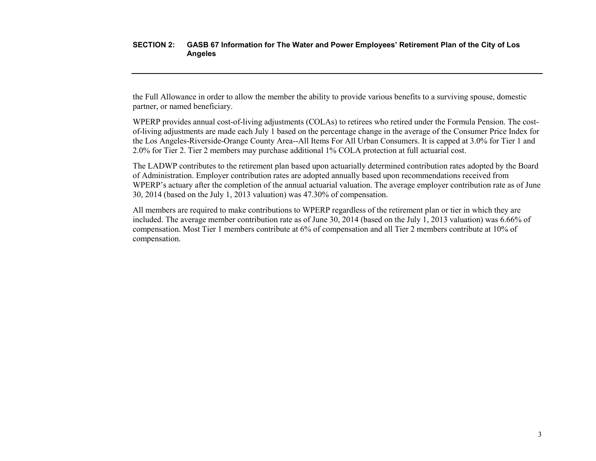the Full Allowance in order to allow the member the ability to provide various benefits to a surviving spouse, domestic partner, or named beneficiary.

WPERP provides annual cost-of-living adjustments (COLAs) to retirees who retired under the Formula Pension. The costof-living adjustments are made each July 1 based on the percentage change in the average of the Consumer Price Index for the Los Angeles-Riverside-Orange County Area--All Items For All Urban Consumers. It is capped at 3.0% for Tier 1 and 2.0% for Tier 2. Tier 2 members may purchase additional 1% COLA protection at full actuarial cost.

The LADWP contributes to the retirement plan based upon actuarially determined contribution rates adopted by the Board of Administration. Employer contribution rates are adopted annually based upon recommendations received from WPERP's actuary after the completion of the annual actuarial valuation. The average employer contribution rate as of June 30, 2014 (based on the July 1, 2013 valuation) was 47.30% of compensation.

All members are required to make contributions to WPERP regardless of the retirement plan or tier in which they are included. The average member contribution rate as of June 30, 2014 (based on the July 1, 2013 valuation) was 6.66% of compensation. Most Tier 1 members contribute at 6% of compensation and all Tier 2 members contribute at 10% of compensation.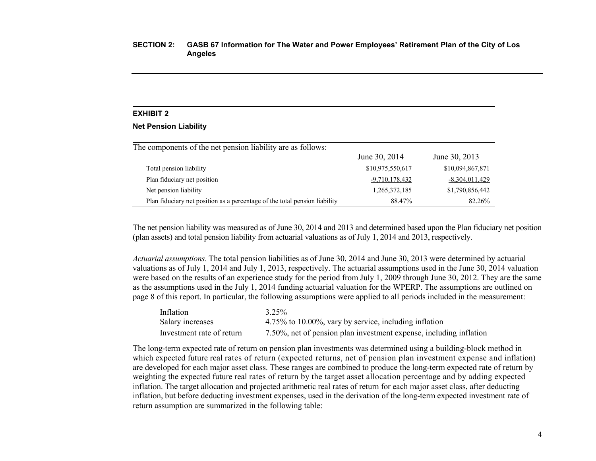#### **EXHIBIT 2**

#### **Net Pension Liability**

| The components of the net pension liability are as follows:                |                  |                  |
|----------------------------------------------------------------------------|------------------|------------------|
|                                                                            | June 30, 2014    | June 30, 2013    |
| Total pension liability                                                    | \$10,975,550,617 | \$10,094,867,871 |
| Plan fiduciary net position                                                | $-9,710,178,432$ | $-8,304,011,429$ |
| Net pension liability                                                      | 1,265,372,185    | \$1,790,856,442  |
| Plan fiduciary net position as a percentage of the total pension liability | 88.47%           | 82.26%           |

The net pension liability was measured as of June 30, 2014 and 2013 and determined based upon the Plan fiduciary net position (plan assets) and total pension liability from actuarial valuations as of July 1, 2014 and 2013, respectively.

*Actuarial assumptions.* The total pension liabilities as of June 30, 2014 and June 30, 2013 were determined by actuarial valuations as of July 1, 2014 and July 1, 2013, respectively. The actuarial assumptions used in the June 30, 2014 valuation were based on the results of an experience study for the period from July 1, 2009 through June 30, 2012. They are the same as the assumptions used in the July 1, 2014 funding actuarial valuation for the WPERP. The assumptions are outlined on page 8 of this report. In particular, the following assumptions were applied to all periods included in the measurement:

| Inflation                 | $3.25\%$                                                           |
|---------------------------|--------------------------------------------------------------------|
| Salary increases          | 4.75% to 10.00%, vary by service, including inflation              |
| Investment rate of return | 7.50%, net of pension plan investment expense, including inflation |

The long-term expected rate of return on pension plan investments was determined using a building-block method in which expected future real rates of return (expected returns, net of pension plan investment expense and inflation) are developed for each major asset class. These ranges are combined to produce the long-term expected rate of return by weighting the expected future real rates of return by the target asset allocation percentage and by adding expected inflation. The target allocation and projected arithmetic real rates of return for each major asset class, after deducting inflation, but before deducting investment expenses, used in the derivation of the long-term expected investment rate of return assumption are summarized in the following table: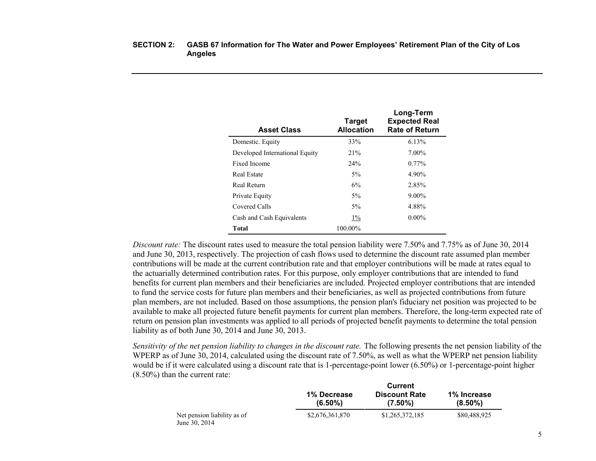| <b>Asset Class</b>             | <b>Target</b><br><b>Allocation</b> | Long-Term<br><b>Expected Real</b><br><b>Rate of Return</b> |
|--------------------------------|------------------------------------|------------------------------------------------------------|
| Domestic. Equity               | 33%                                | 6.13%                                                      |
| Developed International Equity | 21%                                | $7.00\%$                                                   |
| Fixed Income                   | 24%                                | $0.77\%$                                                   |
| Real Estate                    | $5\%$                              | 4.90%                                                      |
| Real Return                    | 6%                                 | 2.85%                                                      |
| Private Equity                 | $5\%$                              | $9.00\%$                                                   |
| Covered Calls                  | $5\%$                              | 4.88%                                                      |
| Cash and Cash Equivalents      | $1\%$                              | $0.00\%$                                                   |
| <b>Total</b>                   | 100.00%                            |                                                            |

*Discount rate:* The discount rates used to measure the total pension liability were 7.50% and 7.75% as of June 30, 2014 and June 30, 2013, respectively. The projection of cash flows used to determine the discount rate assumed plan member contributions will be made at the current contribution rate and that employer contributions will be made at rates equal to the actuarially determined contribution rates. For this purpose, only employer contributions that are intended to fund benefits for current plan members and their beneficiaries are included. Projected employer contributions that are intended to fund the service costs for future plan members and their beneficiaries, as well as projected contributions from future plan members, are not included. Based on those assumptions, the pension plan's fiduciary net position was projected to be available to make all projected future benefit payments for current plan members. Therefore, the long-term expected rate of return on pension plan investments was applied to all periods of projected benefit payments to determine the total pension liability as of both June 30, 2014 and June 30, 2013.

*Sensitivity of the net pension liability to changes in the discount rate.* The following presents the net pension liability of the WPERP as of June 30, 2014, calculated using the discount rate of 7.50%, as well as what the WPERP net pension liability would be if it were calculated using a discount rate that is 1-percentage-point lower (6.50%) or 1-percentage-point higher (8.50%) than the current rate:

|                                              | Current                   |                                    |                           |
|----------------------------------------------|---------------------------|------------------------------------|---------------------------|
|                                              | 1% Decrease<br>$(6.50\%)$ | <b>Discount Rate</b><br>$(7.50\%)$ | 1% Increase<br>$(8.50\%)$ |
| Net pension liability as of<br>June 30, 2014 | \$2,676,361,870           | \$1,265,372,185                    | \$80,488,925              |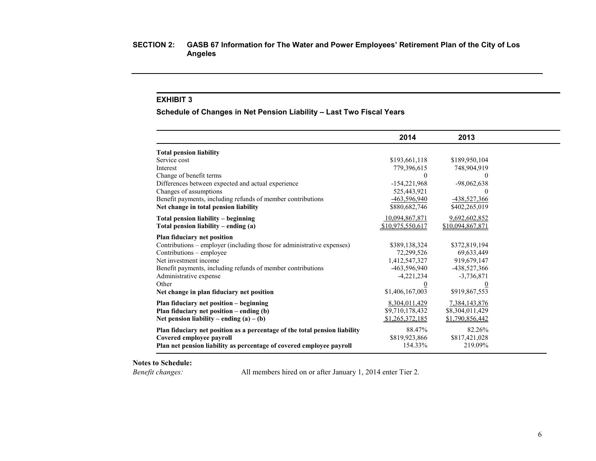# **EXHIBIT 3**

**Schedule of Changes in Net Pension Liability – Last Two Fiscal Years**

|                                                                            | 2014             | 2013             |  |
|----------------------------------------------------------------------------|------------------|------------------|--|
| <b>Total pension liability</b>                                             |                  |                  |  |
| Service cost                                                               | \$193,661,118    | \$189,950,104    |  |
| Interest                                                                   | 779,396,615      | 748,904,919      |  |
| Change of benefit terms                                                    | $\left($         | $\Omega$         |  |
| Differences between expected and actual experience                         | $-154,221,968$   | $-98,062,638$    |  |
| Changes of assumptions                                                     | 525,443,921      | $\theta$         |  |
| Benefit payments, including refunds of member contributions                | $-463,596,940$   | -438,527,366     |  |
| Net change in total pension liability                                      | \$880,682,746    | \$402,265,019    |  |
| Total pension liability - beginning                                        | 10,094,867,871   | 9,692,602,852    |  |
| Total pension liability – ending $(a)$                                     | \$10,975,550,617 | \$10,094,867,871 |  |
| Plan fiduciary net position                                                |                  |                  |  |
| Contributions – employer (including those for administrative expenses)     | \$389,138,324    | \$372,819,194    |  |
| Contributions – employee                                                   | 72,299,526       | 69,633,449       |  |
| Net investment income                                                      | 1,412,547,327    | 919,679,147      |  |
| Benefit payments, including refunds of member contributions                | $-463,596,940$   | -438,527,366     |  |
| Administrative expense                                                     | $-4,221,234$     | $-3,736,871$     |  |
| Other                                                                      | $\overline{0}$   | $\overline{0}$   |  |
| Net change in plan fiduciary net position                                  | \$1,406,167,003  | \$919,867,553    |  |
| Plan fiduciary net position – beginning                                    | 8,304,011,429    | 7,384,143,876    |  |
| Plan fiduciary net position – ending (b)                                   | \$9,710,178,432  | \$8,304,011,429  |  |
| Net pension liability – ending $(a) - (b)$                                 | \$1,265,372,185  | \$1,790,856,442  |  |
| Plan fiduciary net position as a percentage of the total pension liability | 88.47%           | 82.26%           |  |
| Covered employee payroll                                                   | \$819,923,866    | \$817,421,028    |  |
| Plan net pension liability as percentage of covered employee payroll       | 154.33%          | 219.09%          |  |

**Notes to Schedule:**

*Benefit changes:* All members hired on or after January 1, 2014 enter Tier 2.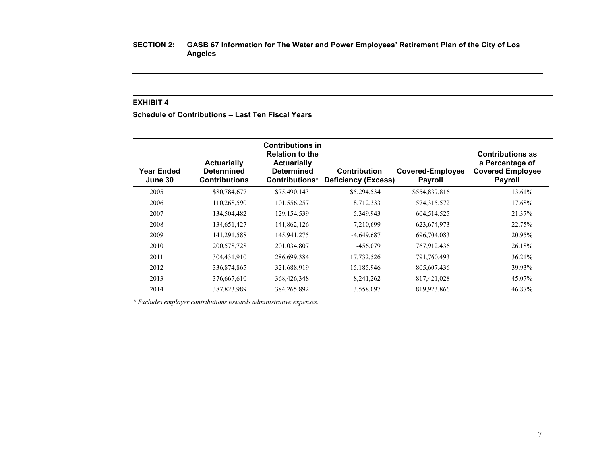# **EXHIBIT 4**

**Schedule of Contributions – Last Ten Fiscal Years**

| <b>Year Ended</b><br>June 30 | <b>Actuarially</b><br><b>Determined</b><br><b>Contributions</b> | <b>Contributions in</b><br><b>Relation to the</b><br><b>Actuarially</b><br><b>Determined</b><br>Contributions* | <b>Contribution</b><br><b>Deficiency (Excess)</b> | <b>Covered-Employee</b><br><b>Payroll</b> | <b>Contributions as</b><br>a Percentage of<br><b>Covered Employee</b><br><b>Payroll</b> |
|------------------------------|-----------------------------------------------------------------|----------------------------------------------------------------------------------------------------------------|---------------------------------------------------|-------------------------------------------|-----------------------------------------------------------------------------------------|
| 2005                         | \$80,784,677                                                    | \$75,490,143                                                                                                   | \$5,294,534                                       | \$554,839,816                             | 13.61%                                                                                  |
| 2006                         | 110,268,590                                                     | 101,556,257                                                                                                    | 8,712,333                                         | 574,315,572                               | 17.68%                                                                                  |
| 2007                         | 134,504,482                                                     | 129, 154, 539                                                                                                  | 5,349,943                                         | 604,514,525                               | 21.37%                                                                                  |
| 2008                         | 134,651,427                                                     | 141,862,126                                                                                                    | $-7,210,699$                                      | 623, 674, 973                             | 22.75%                                                                                  |
| 2009                         | 141,291,588                                                     | 145,941,275                                                                                                    | $-4,649,687$                                      | 696,704,083                               | 20.95%                                                                                  |
| 2010                         | 200,578,728                                                     | 201,034,807                                                                                                    | $-456,079$                                        | 767,912,436                               | 26.18%                                                                                  |
| 2011                         | 304,431,910                                                     | 286,699,384                                                                                                    | 17,732,526                                        | 791,760,493                               | 36.21%                                                                                  |
| 2012                         | 336,874,865                                                     | 321,688,919                                                                                                    | 15,185,946                                        | 805,607,436                               | 39.93%                                                                                  |
| 2013                         | 376,667,610                                                     | 368,426,348                                                                                                    | 8,241,262                                         | 817,421,028                               | 45.07%                                                                                  |
| 2014                         | 387,823,989                                                     | 384,265,892                                                                                                    | 3,558,097                                         | 819,923,866                               | 46.87%                                                                                  |

*\* Excludes employer contributions towards administrative expenses.*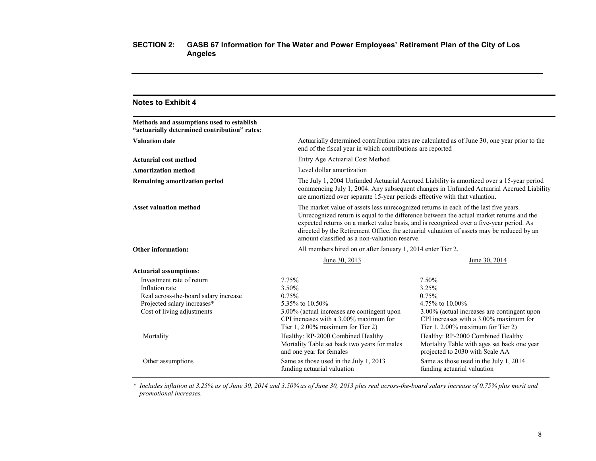| <b>Notes to Exhibit 4</b>                                                                                                                                      |                                                                                                                                                                                                                                                                     |                                                                                                                                                                                                                                                                                  |
|----------------------------------------------------------------------------------------------------------------------------------------------------------------|---------------------------------------------------------------------------------------------------------------------------------------------------------------------------------------------------------------------------------------------------------------------|----------------------------------------------------------------------------------------------------------------------------------------------------------------------------------------------------------------------------------------------------------------------------------|
| Methods and assumptions used to establish<br>"actuarially determined contribution" rates:                                                                      |                                                                                                                                                                                                                                                                     |                                                                                                                                                                                                                                                                                  |
| <b>Valuation date</b>                                                                                                                                          | end of the fiscal year in which contributions are reported                                                                                                                                                                                                          | Actuarially determined contribution rates are calculated as of June 30, one year prior to the                                                                                                                                                                                    |
| Actuarial cost method                                                                                                                                          | Entry Age Actuarial Cost Method                                                                                                                                                                                                                                     |                                                                                                                                                                                                                                                                                  |
| <b>Amortization method</b>                                                                                                                                     | Level dollar amortization                                                                                                                                                                                                                                           |                                                                                                                                                                                                                                                                                  |
| <b>Remaining amortization period</b>                                                                                                                           | are amortized over separate 15-year periods effective with that valuation.                                                                                                                                                                                          | The July 1, 2004 Unfunded Actuarial Accrued Liability is amortized over a 15-year period<br>commencing July 1, 2004. Any subsequent changes in Unfunded Actuarial Accrued Liability                                                                                              |
| <b>Asset valuation method</b>                                                                                                                                  | The market value of assets less unrecognized returns in each of the last five years.<br>amount classified as a non-valuation reserve.                                                                                                                               | Unrecognized return is equal to the difference between the actual market returns and the<br>expected returns on a market value basis, and is recognized over a five-year period. As<br>directed by the Retirement Office, the actuarial valuation of assets may be reduced by an |
| <b>Other information:</b>                                                                                                                                      | All members hired on or after January 1, 2014 enter Tier 2.                                                                                                                                                                                                         |                                                                                                                                                                                                                                                                                  |
|                                                                                                                                                                | June 30, 2013                                                                                                                                                                                                                                                       | June 30, 2014                                                                                                                                                                                                                                                                    |
| <b>Actuarial assumptions:</b>                                                                                                                                  |                                                                                                                                                                                                                                                                     |                                                                                                                                                                                                                                                                                  |
| Investment rate of return<br>Inflation rate<br>Real across-the-board salary increase<br>Projected salary increases*<br>Cost of living adjustments<br>Mortality | 7.75%<br>3.50%<br>0.75%<br>5.35% to 10.50%<br>3.00% (actual increases are contingent upon<br>CPI increases with a $3.00\%$ maximum for<br>Tier $1, 2.00\%$ maximum for Tier 2)<br>Healthy: RP-2000 Combined Healthy<br>Mortality Table set back two years for males | 7.50%<br>3.25%<br>0.75%<br>4.75% to 10.00%<br>3.00% (actual increases are contingent upon<br>CPI increases with a $3.00\%$ maximum for<br>Tier $1, 2.00\%$ maximum for Tier 2)<br>Healthy: RP-2000 Combined Healthy<br>Mortality Table with ages set back one year               |
| Other assumptions                                                                                                                                              | and one year for females<br>Same as those used in the July 1, 2013<br>funding actuarial valuation                                                                                                                                                                   | projected to 2030 with Scale AA<br>Same as those used in the July 1, 2014<br>funding actuarial valuation                                                                                                                                                                         |

*\* Includes inflation at 3.25% as of June 30, 2014 and 3.50% as of June 30, 2013 plus real across-the-board salary increase of 0.75% plus merit and promotional increases.*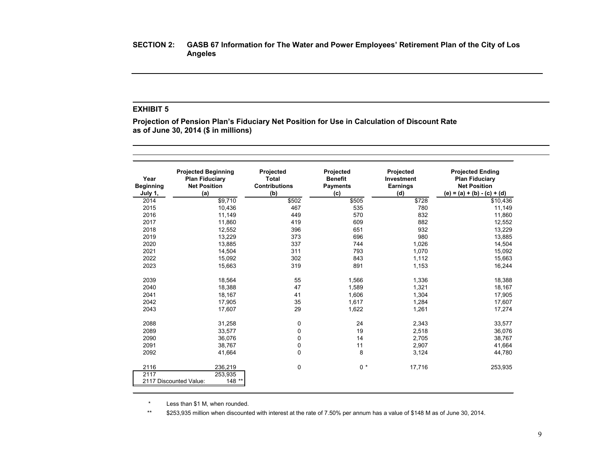# **EXHIBIT 5**

**Projection of Pension Plan's Fiduciary Net Position for Use in Calculation of Discount Rate as of June 30, 2014 (\$ in millions)**

| Year<br><b>Beginning</b><br>July 1, | <b>Projected Beginning</b><br><b>Plan Fiduciary</b><br><b>Net Position</b><br>(a) | Projected<br>Total<br><b>Contributions</b><br>(b) | Projected<br><b>Benefit</b><br><b>Payments</b><br>(c) | Projected<br>Investment<br><b>Earnings</b><br>(d) | <b>Projected Ending</b><br><b>Plan Fiduciary</b><br><b>Net Position</b><br>(e) = (a) + (b) - (c) + (d) |
|-------------------------------------|-----------------------------------------------------------------------------------|---------------------------------------------------|-------------------------------------------------------|---------------------------------------------------|--------------------------------------------------------------------------------------------------------|
| 2014                                | \$9,710                                                                           | \$502                                             | \$505                                                 | \$728                                             | \$10,436                                                                                               |
| 2015                                | 10,436                                                                            | 467                                               | 535                                                   | 780                                               | 11,149                                                                                                 |
| 2016                                | 11,149                                                                            | 449                                               | 570                                                   | 832                                               | 11.860                                                                                                 |
| 2017                                | 11,860                                                                            | 419                                               | 609                                                   | 882                                               | 12,552                                                                                                 |
| 2018                                | 12,552                                                                            | 396                                               | 651                                                   | 932                                               | 13,229                                                                                                 |
| 2019                                | 13,229                                                                            | 373                                               | 696                                                   | 980                                               | 13,885                                                                                                 |
| 2020                                | 13,885                                                                            | 337                                               | 744                                                   | 1,026                                             | 14,504                                                                                                 |
| 2021                                | 14,504                                                                            | 311                                               | 793                                                   | 1,070                                             | 15,092                                                                                                 |
| 2022                                | 15,092                                                                            | 302                                               | 843                                                   | 1,112                                             | 15,663                                                                                                 |
| 2023                                | 15,663                                                                            | 319                                               | 891                                                   | 1,153                                             | 16,244                                                                                                 |
| 2039                                | 18,564                                                                            | 55                                                | 1,566                                                 | 1,336                                             | 18,388                                                                                                 |
| 2040                                | 18,388                                                                            | 47                                                | 1,589                                                 | 1,321                                             | 18,167                                                                                                 |
| 2041                                | 18,167                                                                            | 41                                                | 1,606                                                 | 1,304                                             | 17,905                                                                                                 |
| 2042                                | 17,905                                                                            | 35                                                | 1,617                                                 | 1,284                                             | 17,607                                                                                                 |
| 2043                                | 17,607                                                                            | 29                                                | 1,622                                                 | 1,261                                             | 17,274                                                                                                 |
| 2088                                | 31,258                                                                            | 0                                                 | 24                                                    | 2,343                                             | 33,577                                                                                                 |
| 2089                                | 33,577                                                                            | 0                                                 | 19                                                    | 2,518                                             | 36,076                                                                                                 |
| 2090                                | 36,076                                                                            | 0                                                 | 14                                                    | 2,705                                             | 38,767                                                                                                 |
| 2091                                | 38,767                                                                            | 0                                                 | 11                                                    | 2,907                                             | 41,664                                                                                                 |
| 2092                                | 41,664                                                                            | 0                                                 | 8                                                     | 3,124                                             | 44,780                                                                                                 |
| 2116                                | 236,219                                                                           | $\mathbf 0$                                       | $0 *$                                                 | 17,716                                            | 253,935                                                                                                |
| 2117                                | 253,935<br>148 **<br>2117 Discounted Value:                                       |                                                   |                                                       |                                                   |                                                                                                        |

\* Less than \$1 M, when rounded.

\*\* \$253,935 million when discounted with interest at the rate of 7.50% per annum has a value of \$148 M as of June 30, 2014.